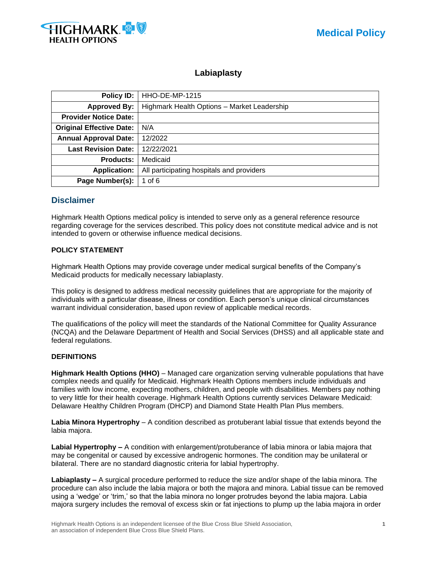

# **Labiaplasty**

| Policy ID:                      | HHO-DE-MP-1215                              |
|---------------------------------|---------------------------------------------|
| <b>Approved By:</b>             | Highmark Health Options - Market Leadership |
| <b>Provider Notice Date:</b>    |                                             |
| <b>Original Effective Date:</b> | N/A                                         |
| <b>Annual Approval Date:</b>    | 12/2022                                     |
| <b>Last Revision Date:</b>      | 12/22/2021                                  |
| <b>Products:</b>                | Medicaid                                    |
| <b>Application:</b>             | All participating hospitals and providers   |
| Page Number(s):                 | 1 of $6$                                    |

# **Disclaimer**

Highmark Health Options medical policy is intended to serve only as a general reference resource regarding coverage for the services described. This policy does not constitute medical advice and is not intended to govern or otherwise influence medical decisions.

## **POLICY STATEMENT**

Highmark Health Options may provide coverage under medical surgical benefits of the Company's Medicaid products for medically necessary labiaplasty.

This policy is designed to address medical necessity guidelines that are appropriate for the majority of individuals with a particular disease, illness or condition. Each person's unique clinical circumstances warrant individual consideration, based upon review of applicable medical records.

The qualifications of the policy will meet the standards of the National Committee for Quality Assurance (NCQA) and the Delaware Department of Health and Social Services (DHSS) and all applicable state and federal regulations.

## **DEFINITIONS**

**Highmark Health Options (HHO)** – Managed care organization serving vulnerable populations that have complex needs and qualify for Medicaid. Highmark Health Options members include individuals and families with low income, expecting mothers, children, and people with disabilities. Members pay nothing to very little for their health coverage. Highmark Health Options currently services Delaware Medicaid: Delaware Healthy Children Program (DHCP) and Diamond State Health Plan Plus members.

**Labia Minora Hypertrophy** – A condition described as protuberant labial tissue that extends beyond the labia majora.

**Labial Hypertrophy –** A condition with enlargement/protuberance of labia minora or labia majora that may be congenital or caused by excessive androgenic hormones. The condition may be unilateral or bilateral. There are no standard diagnostic criteria for labial hypertrophy.

**Labiaplasty –** A surgical procedure performed to reduce the size and/or shape of the labia minora. The procedure can also include the labia majora or both the majora and minora. Labial tissue can be removed using a 'wedge' or 'trim,' so that the labia minora no longer protrudes beyond the labia majora. Labia majora surgery includes the removal of excess skin or fat injections to plump up the labia majora in order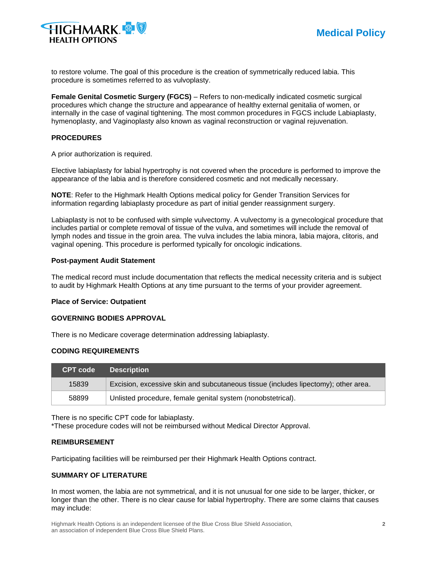

to restore volume. The goal of this procedure is the creation of symmetrically reduced labia. This procedure is sometimes referred to as vulvoplasty.

**Female Genital Cosmetic Surgery (FGCS)** – Refers to non-medically indicated cosmetic surgical procedures which change the structure and appearance of healthy external genitalia of women, or internally in the case of vaginal tightening. The most common procedures in FGCS include Labiaplasty, hymenoplasty, and Vaginoplasty also known as vaginal reconstruction or vaginal rejuvenation.

# **PROCEDURES**

A prior authorization is required.

Elective labiaplasty for labial hypertrophy is not covered when the procedure is performed to improve the appearance of the labia and is therefore considered cosmetic and not medically necessary.

**NOTE**: Refer to the Highmark Health Options medical policy for Gender Transition Services for information regarding labiaplasty procedure as part of initial gender reassignment surgery.

Labiaplasty is not to be confused with simple vulvectomy. A vulvectomy is a gynecological procedure that includes partial or complete removal of tissue of the vulva, and sometimes will include the removal of lymph nodes and tissue in the groin area. The vulva includes the labia minora, labia majora, clitoris, and vaginal opening. This procedure is performed typically for oncologic indications.

#### **Post-payment Audit Statement**

The medical record must include documentation that reflects the medical necessity criteria and is subject to audit by Highmark Health Options at any time pursuant to the terms of your provider agreement.

## **Place of Service: Outpatient**

#### **GOVERNING BODIES APPROVAL**

There is no Medicare coverage determination addressing labiaplasty.

# **CODING REQUIREMENTS**

| <b>CPT code</b> | <b>Description</b>                                                                 |
|-----------------|------------------------------------------------------------------------------------|
| 15839           | Excision, excessive skin and subcutaneous tissue (includes lipectomy); other area. |
| 58899           | Unlisted procedure, female genital system (nonobstetrical).                        |

There is no specific CPT code for labiaplasty.

\*These procedure codes will not be reimbursed without Medical Director Approval.

#### **REIMBURSEMENT**

Participating facilities will be reimbursed per their Highmark Health Options contract.

# **SUMMARY OF LITERATURE**

In most women, the labia are not symmetrical, and it is not unusual for one side to be larger, thicker, or longer than the other. There is no clear cause for labial hypertrophy. There are some claims that causes may include: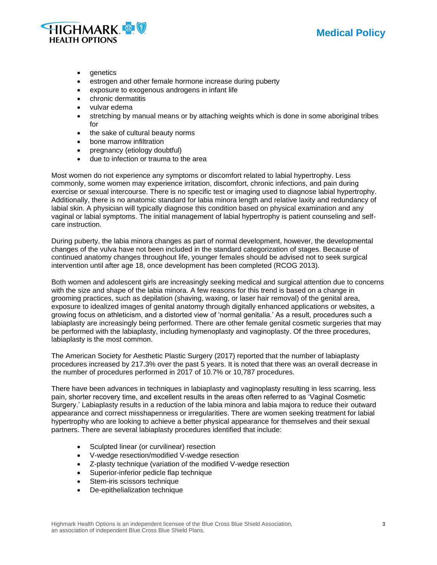

- genetics
- estrogen and other female hormone increase during puberty
- exposure to exogenous androgens in infant life
- chronic dermatitis
- vulvar edema
- stretching by manual means or by attaching weights which is done in some aboriginal tribes for
- the sake of cultural beauty norms
- bone marrow infiltration
- pregnancy (etiology doubtful)
- due to infection or trauma to the area

Most women do not experience any symptoms or discomfort related to labial hypertrophy. Less commonly, some women may experience irritation, discomfort, chronic infections, and pain during exercise or sexual intercourse. There is no specific test or imaging used to diagnose labial hypertrophy. Additionally, there is no anatomic standard for labia minora length and relative laxity and redundancy of labial skin. A physician will typically diagnose this condition based on physical examination and any vaginal or labial symptoms. The initial management of labial hypertrophy is patient counseling and selfcare instruction.

During puberty, the labia minora changes as part of normal development, however, the developmental changes of the vulva have not been included in the standard categorization of stages. Because of continued anatomy changes throughout life, younger females should be advised not to seek surgical intervention until after age 18, once development has been completed (RCOG 2013).

Both women and adolescent girls are increasingly seeking medical and surgical attention due to concerns with the size and shape of the labia minora. A few reasons for this trend is based on a change in grooming practices, such as depilation (shaving, waxing, or laser hair removal) of the genital area, exposure to idealized images of genital anatomy through digitally enhanced applications or websites, a growing focus on athleticism, and a distorted view of 'normal genitalia.' As a result, procedures such a labiaplasty are increasingly being performed. There are other female genital cosmetic surgeries that may be performed with the labiaplasty, including hymenoplasty and vaginoplasty. Of the three procedures, labiaplasty is the most common.

The American Society for Aesthetic Plastic Surgery (2017) reported that the number of labiaplasty procedures increased by 217.3% over the past 5 years. It is noted that there was an overall decrease in the number of procedures performed in 2017 of 10.7% or 10,787 procedures.

There have been advances in techniques in labiaplasty and vaginoplasty resulting in less scarring, less pain, shorter recovery time, and excellent results in the areas often referred to as 'Vaginal Cosmetic Surgery.' Labiaplasty results in a reduction of the labia minora and labia majora to reduce their outward appearance and correct misshapenness or irregularities. There are women seeking treatment for labial hypertrophy who are looking to achieve a better physical appearance for themselves and their sexual partners. There are several labiaplasty procedures identified that include:

- Sculpted linear (or curvilinear) resection
- V-wedge resection/modified V-wedge resection
- Z-plasty technique (variation of the modified V-wedge resection
- Superior-inferior pedicle flap technique
- Stem-iris scissors technique
- De-epithelialization technique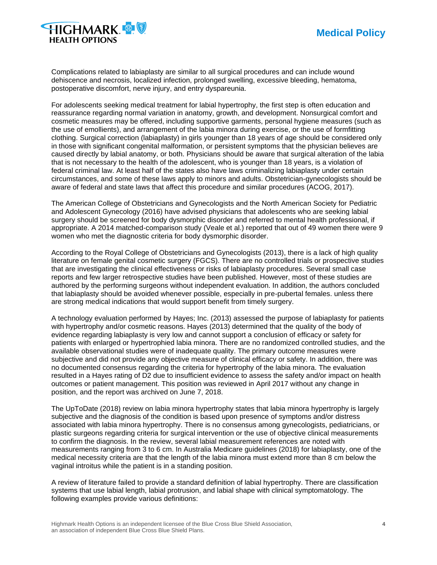



Complications related to labiaplasty are similar to all surgical procedures and can include wound dehiscence and necrosis, localized infection, prolonged swelling, excessive bleeding, hematoma, postoperative discomfort, nerve injury, and entry dyspareunia.

For adolescents seeking medical treatment for labial hypertrophy, the first step is often education and reassurance regarding normal variation in anatomy, growth, and development. Nonsurgical comfort and cosmetic measures may be offered, including supportive garments, personal hygiene measures (such as the use of emollients), and arrangement of the labia minora during exercise, or the use of formfitting clothing. Surgical correction (labiaplasty) in girls younger than 18 years of age should be considered only in those with significant congenital malformation, or persistent symptoms that the physician believes are caused directly by labial anatomy, or both. Physicians should be aware that surgical alteration of the labia that is not necessary to the health of the adolescent, who is younger than 18 years, is a violation of federal criminal law. At least half of the states also have laws criminalizing labiaplasty under certain circumstances, and some of these laws apply to minors and adults. Obstetrician-gynecologists should be aware of federal and state laws that affect this procedure and similar procedures (ACOG, 2017).

The American College of Obstetricians and Gynecologists and the North American Society for Pediatric and Adolescent Gynecology (2016) have advised physicians that adolescents who are seeking labial surgery should be screened for body dysmorphic disorder and referred to mental health professional, if appropriate. A 2014 matched-comparison study (Veale et al.) reported that out of 49 women there were 9 women who met the diagnostic criteria for body dysmorphic disorder.

According to the Royal College of Obstetricians and Gynecologists (2013), there is a lack of high quality literature on female genital cosmetic surgery (FGCS). There are no controlled trials or prospective studies that are investigating the clinical effectiveness or risks of labiaplasty procedures. Several small case reports and few larger retrospective studies have been published. However, most of these studies are authored by the performing surgeons without independent evaluation. In addition, the authors concluded that labiaplasty should be avoided whenever possible, especially in pre-pubertal females. unless there are strong medical indications that would support benefit from timely surgery.

A technology evaluation performed by Hayes; Inc. (2013) assessed the purpose of labiaplasty for patients with hypertrophy and/or cosmetic reasons. Hayes (2013) determined that the quality of the body of evidence regarding labiaplasty is very low and cannot support a conclusion of efficacy or safety for patients with enlarged or hypertrophied labia minora. There are no randomized controlled studies, and the available observational studies were of inadequate quality. The primary outcome measures were subjective and did not provide any objective measure of clinical efficacy or safety. In addition, there was no documented consensus regarding the criteria for hypertrophy of the labia minora. The evaluation resulted in a Hayes rating of D2 due to insufficient evidence to assess the safety and/or impact on health outcomes or patient management. This position was reviewed in April 2017 without any change in position, and the report was archived on June 7, 2018.

The UpToDate (2018) review on labia minora hypertrophy states that labia minora hypertrophy is largely subjective and the diagnosis of the condition is based upon presence of symptoms and/or distress associated with labia minora hypertrophy. There is no consensus among gynecologists, pediatricians, or plastic surgeons regarding criteria for surgical intervention or the use of objective clinical measurements to confirm the diagnosis. In the review, several labial measurement references are noted with measurements ranging from 3 to 6 cm. In Australia Medicare guidelines (2018) for labiaplasty, one of the medical necessity criteria are that the length of the labia minora must extend more than 8 cm below the vaginal introitus while the patient is in a standing position.

A review of literature failed to provide a standard definition of labial hypertrophy. There are classification systems that use labial length, labial protrusion, and labial shape with clinical symptomatology. The following examples provide various definitions: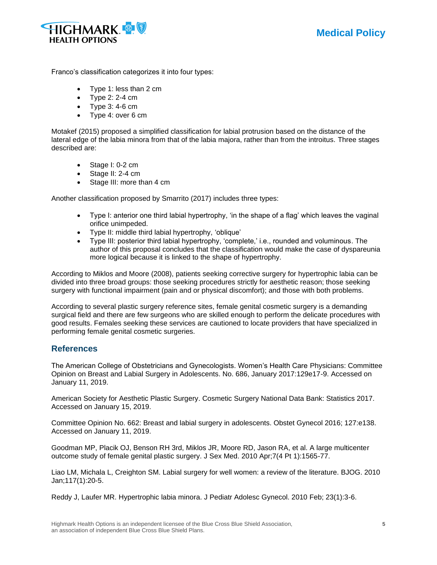



Franco's classification categorizes it into four types:

- Type 1: less than 2 cm
- Type 2: 2-4 cm
- Type  $3: 4-6$  cm
- Type 4: over 6 cm

Motakef (2015) proposed a simplified classification for labial protrusion based on the distance of the lateral edge of the labia minora from that of the labia majora, rather than from the introitus. Three stages described are:

- Stage I: 0-2 cm
- Stage II: 2-4 cm
- Stage III: more than 4 cm

Another classification proposed by Smarrito (2017) includes three types:

- Type I: anterior one third labial hypertrophy, 'in the shape of a flag' which leaves the vaginal orifice unimpeded.
- Type II: middle third labial hypertrophy, 'oblique'
- Type III: posterior third labial hypertrophy, 'complete,' i.e., rounded and voluminous. The author of this proposal concludes that the classification would make the case of dyspareunia more logical because it is linked to the shape of hypertrophy.

According to Miklos and Moore (2008), patients seeking corrective surgery for hypertrophic labia can be divided into three broad groups: those seeking procedures strictly for aesthetic reason; those seeking surgery with functional impairment (pain and or physical discomfort); and those with both problems.

According to several plastic surgery reference sites, female genital cosmetic surgery is a demanding surgical field and there are few surgeons who are skilled enough to perform the delicate procedures with good results. Females seeking these services are cautioned to locate providers that have specialized in performing female genital cosmetic surgeries.

# **References**

The American College of Obstetricians and Gynecologists. Women's Health Care Physicians: Committee Opinion on Breast and Labial Surgery in Adolescents. No. 686, January 2017:129e17-9. Accessed on January 11, 2019.

American Society for Aesthetic Plastic Surgery. Cosmetic Surgery National Data Bank: Statistics 2017. Accessed on January 15, 2019.

Committee Opinion No. 662: Breast and labial surgery in adolescents. Obstet Gynecol 2016; 127:e138. Accessed on January 11, 2019.

Goodman MP, Placik OJ, Benson RH 3rd, Miklos JR, Moore RD, Jason RA, et al. A large multicenter outcome study of female genital plastic surgery. J Sex Med. 2010 Apr;7(4 Pt 1):1565-77.

Liao LM, Michala L, Creighton SM. Labial surgery for well women: a review of the literature. BJOG. 2010 Jan;117(1):20-5.

Reddy J, Laufer MR. Hypertrophic labia minora. J Pediatr Adolesc Gynecol. 2010 Feb; 23(1):3-6.